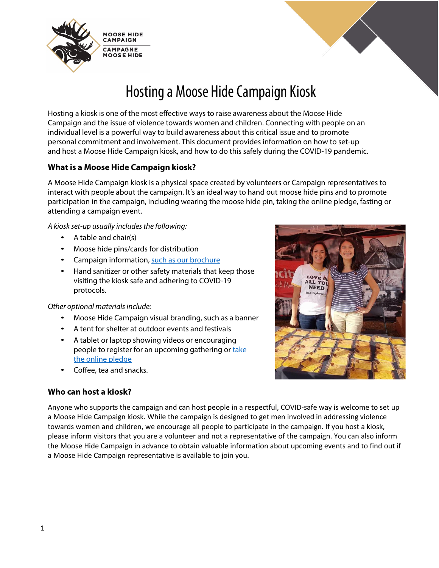



# Hosting a Moose Hide Campaign Kiosk

Hosting a kiosk is one of the most effective ways to raise awareness about the Moose Hide Campaign and the issue of violence towards women and children. Connecting with people on an individual level is a powerful way to build awareness about this critical issue and to promote personal commitment and involvement. This document provides information on how to set-up and host a Moose Hide Campaign kiosk, and how to do this safely during the COVID-19 pandemic.

# **What is a Moose Hide Campaign kiosk?**

A Moose Hide Campaign kiosk is a physical space created by volunteers or Campaign representatives to interact with people about the campaign. It's an ideal way to hand out moose hide pins and to promote participation in the campaign, including wearing the moose hide pin, taking the online pledge, fasting or attending a campaign event.

*A kiosk set-up usually includes the following:*

- A table and chair(s)
- Moose hide pins/cards for distribution
- Campaign information, [such as our](https://moosehidecampaign.ca/images/Documents/mhc-brochure-print.pdf) brochure
- Hand sanitizer or other safety materials that keep those visiting the kiosk safe and adhering to COVID-19 protocols.

*Other optional materials include:*

- Moose Hide Campaign visual branding, such as a banner
- A tent for shelter at outdoor events and festivals
- A tablet or laptop showing videos or encouraging people to register for an upcoming gathering or take [the online pledge](https://www.moosehidecampaign.ca/get-involved/make-the-pledge)
- Coffee, tea and snacks.

# **Who can host a kiosk?**

**NEED** 

Anyone who supports the campaign and can host people in a respectful, COVID-safe way is welcome to set up a Moose Hide Campaign kiosk. While the campaign is designed to get men involved in addressing violence towards women and children, we encourage all people to participate in the campaign. If you host a kiosk, please inform visitors that you are a volunteer and not a representative of the campaign. You can also inform the Moose Hide Campaign in advance to obtain valuable information about upcoming events and to find out if a Moose Hide Campaign representative is available to join you.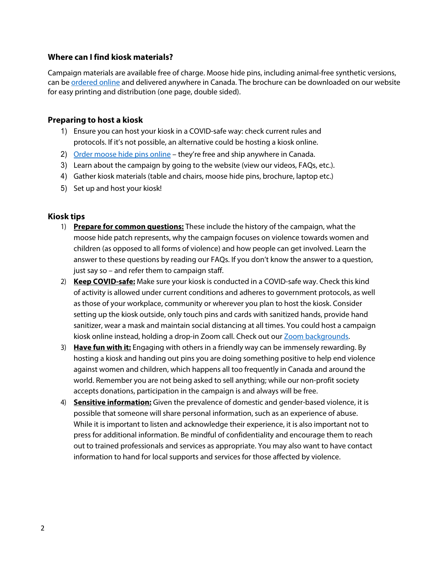### **Where can I find kiosk materials?**

Campaign materials are available free of charge. Moose hide pins, including animal-free synthetic versions, can be **ordered online** and delivered anywhere in Canada. The brochure can be downloaded on our website for easy printing and distribution (one page, double sided).

### **Preparing to host a kiosk**

- 1) Ensure you can host your kiosk in a COVID-safe way: check current rules and protocols. If it's not possible, an alternative could be hosting a kiosk online.
- 2) [Order moose hide pins online](https://www.moosehidecampaign.ca/get-involved/order-pins-and-cards)  they're free and ship anywhere in Canada.
- 3) Learn about the campaign by going to the website (view our videos, FAQs, etc.).
- 4) Gather kiosk materials (table and chairs, moose hide pins, brochure, laptop etc.)
- 5) Set up and host your kiosk!

### **Kiosk tips**

- 1) **Prepare for common questions:** These include the history of the campaign, what the moose hide patch represents, why the campaign focuses on violence towards women and children (as opposed to all forms of violence) and how people can get involved. Learn the answer to these questions by reading our FAQs. If you don't know the answer to a question, just say so – and refer them to campaign staff.
- 2) **Keep COVID-safe:** Make sure your kiosk is conducted in a COVID-safe way. Check this kind of activity is allowed under current conditions and adheres to government protocols, as well as those of your workplace, community or wherever you plan to host the kiosk. Consider setting up the kiosk outside, only touch pins and cards with sanitized hands, provide hand sanitizer, wear a mask and maintain social distancing at all times. You could host a campaign kiosk online instead, holding a drop-in Zoom call. Check out our **Zoom backgrounds**.
- 3) **Have fun with it:** Engaging with others in a friendly way can be immensely rewarding. By hosting a kiosk and handing out pins you are doing something positive to help end violence against women and children, which happens all too frequently in Canada and around the world. Remember you are not being asked to sell anything; while our non-profit society accepts donations, participation in the campaign is and always will be free.
- 4) **Sensitive information:** Given the prevalence of domestic and gender-based violence, it is possible that someone will share personal information, such as an experience of abuse. While it is important to listen and acknowledge their experience, it is also important not to press for additional information. Be mindful of confidentiality and encourage them to reach out to trained professionals and services as appropriate. You may also want to have contact information to hand for local supports and services for those affected by violence.